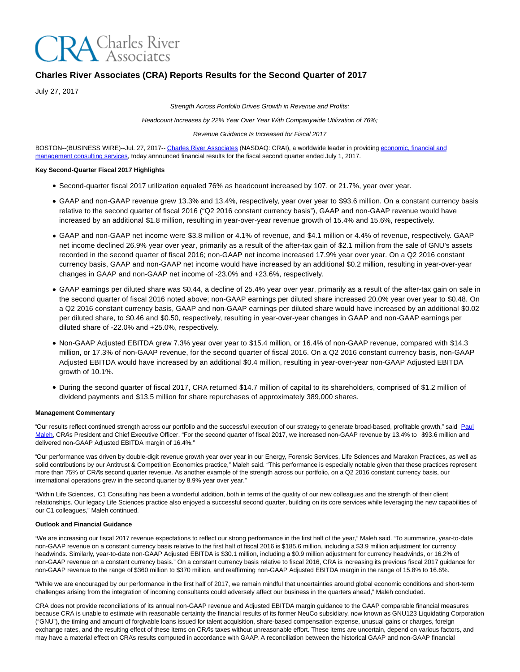

# **Charles River Associates (CRA) Reports Results for the Second Quarter of 2017**

July 27, 2017

Strength Across Portfolio Drives Growth in Revenue and Profits;

Headcount Increases by 22% Year Over Year With Companywide Utilization of 76%;

#### Revenue Guidance Is Increased for Fiscal 2017

BOSTON--(BUSINESS WIRE)--Jul. 27, 2017-- [Charles River Associates \(](http://cts.businesswire.com/ct/CT?id=smartlink&url=http%3A%2F%2Fwww.crai.com%2FDefault.aspx&esheet=51597273&newsitemid=20170727005747&lan=en-US&anchor=Charles+River+Associates&index=1&md5=6d5ba8be46cc22124d3e483d92dd01e4)NASDAQ: CRAI), a worldwide leader in providing [economic, financial and](http://cts.businesswire.com/ct/CT?id=smartlink&url=http%3A%2F%2Fwww.crai.com%2FConsultingExpertise%2FDefaultCustom.aspx&esheet=51597273&newsitemid=20170727005747&lan=en-US&anchor=economic%2C+financial+and+management+consulting+services&index=2&md5=718d243259c60f14c011494e95624e84) management consulting services, today announced financial results for the fiscal second quarter ended July 1, 2017.

#### **Key Second-Quarter Fiscal 2017 Highlights**

- Second-quarter fiscal 2017 utilization equaled 76% as headcount increased by 107, or 21.7%, year over year.
- GAAP and non-GAAP revenue grew 13.3% and 13.4%, respectively, year over year to \$93.6 million. On a constant currency basis relative to the second quarter of fiscal 2016 ("Q2 2016 constant currency basis"), GAAP and non-GAAP revenue would have increased by an additional \$1.8 million, resulting in year-over-year revenue growth of 15.4% and 15.6%, respectively.
- GAAP and non-GAAP net income were \$3.8 million or 4.1% of revenue, and \$4.1 million or 4.4% of revenue, respectively. GAAP net income declined 26.9% year over year, primarily as a result of the after-tax gain of \$2.1 million from the sale of GNU's assets recorded in the second quarter of fiscal 2016; non-GAAP net income increased 17.9% year over year. On a Q2 2016 constant currency basis, GAAP and non-GAAP net income would have increased by an additional \$0.2 million, resulting in year-over-year changes in GAAP and non-GAAP net income of -23.0% and +23.6%, respectively.
- GAAP earnings per diluted share was \$0.44, a decline of 25.4% year over year, primarily as a result of the after-tax gain on sale in the second quarter of fiscal 2016 noted above; non-GAAP earnings per diluted share increased 20.0% year over year to \$0.48. On a Q2 2016 constant currency basis, GAAP and non-GAAP earnings per diluted share would have increased by an additional \$0.02 per diluted share, to \$0.46 and \$0.50, respectively, resulting in year-over-year changes in GAAP and non-GAAP earnings per diluted share of -22.0% and +25.0%, respectively.
- Non-GAAP Adjusted EBITDA grew 7.3% year over year to \$15.4 million, or 16.4% of non-GAAP revenue, compared with \$14.3 million, or 17.3% of non-GAAP revenue, for the second quarter of fiscal 2016. On a Q2 2016 constant currency basis, non-GAAP Adjusted EBITDA would have increased by an additional \$0.4 million, resulting in year-over-year non-GAAP Adjusted EBITDA growth of 10.1%.
- During the second quarter of fiscal 2017, CRA returned \$14.7 million of capital to its shareholders, comprised of \$1.2 million of dividend payments and \$13.5 million for share repurchases of approximately 389,000 shares.

#### **Management Commentary**

"Our results reflect continued strength across our portfolio and the successful execution of our strategy to generate broad-based, profitable growth," said [Paul](http://cts.businesswire.com/ct/CT?id=smartlink&url=http%3A%2F%2Fwww.crai.com%2Fexpert%2Fpaul-maleh&esheet=51597273&newsitemid=20170727005747&lan=en-US&anchor=Paul+Maleh&index=3&md5=c6f5f88ecc4588b4e12b467f503fa2b9) Maleh, CRA's President and Chief Executive Officer. "For the second quarter of fiscal 2017, we increased non-GAAP revenue by 13.4% to \$93.6 million and delivered non-GAAP Adjusted EBITDA margin of 16.4%."

"Our performance was driven by double-digit revenue growth year over year in our Energy, Forensic Services, Life Sciences and Marakon Practices, as well as solid contributions by our Antitrust & Competition Economics practice," Maleh said. "This performance is especially notable given that these practices represent more than 75% of CRA's second quarter revenue. As another example of the strength across our portfolio, on a Q2 2016 constant currency basis, our international operations grew in the second quarter by 8.9% year over year."

"Within Life Sciences, C1 Consulting has been a wonderful addition, both in terms of the quality of our new colleagues and the strength of their client relationships. Our legacy Life Sciences practice also enjoyed a successful second quarter, building on its core services while leveraging the new capabilities of our C1 colleagues," Maleh continued.

#### **Outlook and Financial Guidance**

"We are increasing our fiscal 2017 revenue expectations to reflect our strong performance in the first half of the year," Maleh said. "To summarize, year-to-date non-GAAP revenue on a constant currency basis relative to the first half of fiscal 2016 is \$185.6 million, including a \$3.9 million adjustment for currency headwinds. Similarly, year-to-date non-GAAP Adjusted EBITDA is \$30.1 million, including a \$0.9 million adjustment for currency headwinds, or 16.2% of non-GAAP revenue on a constant currency basis." On a constant currency basis relative to fiscal 2016, CRA is increasing its previous fiscal 2017 guidance for non-GAAP revenue to the range of \$360 million to \$370 million, and reaffirming non-GAAP Adjusted EBITDA margin in the range of 15.8% to 16.6%.

"While we are encouraged by our performance in the first half of 2017, we remain mindful that uncertainties around global economic conditions and short-term challenges arising from the integration of incoming consultants could adversely affect our business in the quarters ahead," Maleh concluded.

CRA does not provide reconciliations of its annual non-GAAP revenue and Adjusted EBITDA margin guidance to the GAAP comparable financial measures because CRA is unable to estimate with reasonable certainty the financial results of its former NeuCo subsidiary, now known as GNU123 Liquidating Corporation ("GNU"), the timing and amount of forgivable loans issued for talent acquisition, share-based compensation expense, unusual gains or charges, foreign exchange rates, and the resulting effect of these items on CRA's taxes without unreasonable effort. These items are uncertain, depend on various factors, and may have a material effect on CRA's results computed in accordance with GAAP. A reconciliation between the historical GAAP and non-GAAP financial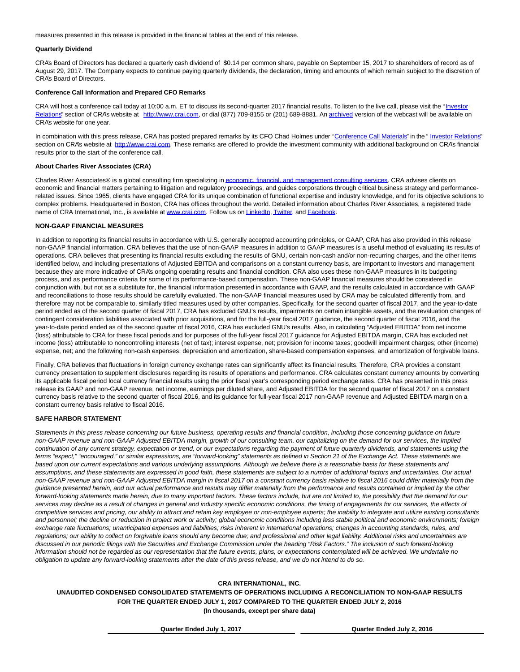measures presented in this release is provided in the financial tables at the end of this release.

#### **Quarterly Dividend**

CRA's Board of Directors has declared a quarterly cash dividend of \$0.14 per common share, payable on September 15, 2017 to shareholders of record as of August 29, 2017. The Company expects to continue paying quarterly dividends, the declaration, timing and amounts of which remain subject to the discretion of CRA's Board of Directors.

#### **Conference Call Information and Prepared CFO Remarks**

CRA will host a conference call today at 10:00 a.m. ET to discuss its second-quarter 2017 financial results. To listen to the live call, please visit the ["Investor](http://cts.businesswire.com/ct/CT?id=smartlink&url=http%3A%2F%2Fphx.corporate-ir.net%2Fphoenix.zhtml%3Fc%3D97435%26p%3Dirol-IRHome&esheet=51597273&newsitemid=20170727005747&lan=en-US&anchor=Investor+Relations&index=4&md5=c24e2320de8e76a374e46b5b317d8589) Relations" section of CRA's website at [http://www.crai.com,](http://cts.businesswire.com/ct/CT?id=smartlink&url=http%3A%2F%2Fwww.crai.com%2FDefault.aspx&esheet=51597273&newsitemid=20170727005747&lan=en-US&anchor=http%3A%2F%2Fwww.crai.com&index=5&md5=709bf1f6ad048673e06bbb6d2aaf2d8a) or dial (877) 709-8155 or (201) 689-8881. An [archived v](http://cts.businesswire.com/ct/CT?id=smartlink&url=http%3A%2F%2Fphx.corporate-ir.net%2Fphoenix.zhtml%3Fc%3D97435%26p%3Dirol-calendarpast&esheet=51597273&newsitemid=20170727005747&lan=en-US&anchor=archived&index=6&md5=f1fbc99afc94dc9dc64c09e439680807)ersion of the webcast will be available on CRA's website for one year.

In combination with this press release, CRA has posted prepared remarks by its CFO Chad Holmes under ["Conference Call Materials"](http://cts.businesswire.com/ct/CT?id=smartlink&url=http%3A%2F%2Fphx.corporate-ir.net%2Fphoenix.zhtml%3Fc%3D97435%26p%3Dirol-presentations&esheet=51597273&newsitemid=20170727005747&lan=en-US&anchor=Conference+Call+Materials&index=7&md5=8f29281c8c441b250b6bd836643ec77e) in the " [Investor Relations"](http://cts.businesswire.com/ct/CT?id=smartlink&url=http%3A%2F%2Fphx.corporate-ir.net%2Fphoenix.zhtml%3Fc%3D97435%26p%3Dirol-IRHome&esheet=51597273&newsitemid=20170727005747&lan=en-US&anchor=Investor+Relations&index=8&md5=ddb8f2377dd1857c2a4009eefff31656) section on CRA's website at [http://www.crai.com.](http://cts.businesswire.com/ct/CT?id=smartlink&url=http%3A%2F%2Fwww.crai.com%2FDefault.aspx&esheet=51597273&newsitemid=20170727005747&lan=en-US&anchor=http%3A%2F%2Fwww.crai.com&index=9&md5=27f6ea51e587c412490995e8575beb31) These remarks are offered to provide the investment community with additional background on CRA's financial results prior to the start of the conference call.

#### **About Charles River Associates (CRA)**

Charles River Associates® is a global consulting firm specializing i[n economic, financial, and management consulting services.](http://cts.businesswire.com/ct/CT?id=smartlink&url=http%3A%2F%2Fwww.crai.com%2F&esheet=51597273&newsitemid=20170727005747&lan=en-US&anchor=economic%2C+financial%2C+and+management+consulting+services&index=10&md5=29df49997b1af1e08bec09c14016fbfb) CRA advises clients on economic and financial matters pertaining to litigation and regulatory proceedings, and guides corporations through critical business strategy and performancerelated issues. Since 1965, clients have engaged CRA for its unique combination of functional expertise and industry knowledge, and for its objective solutions to complex problems. Headquartered in Boston, CRA has offices throughout the world. Detailed information about Charles River Associates, a registered trade name of CRA International, Inc., is available a[t www.crai.com.](http://cts.businesswire.com/ct/CT?id=smartlink&url=http%3A%2F%2Fwww.crai.com&esheet=51597273&newsitemid=20170727005747&lan=en-US&anchor=www.crai.com&index=11&md5=c79be81106491fbf0d0ab0d9ea08b381) Follow us o[n LinkedIn,](http://cts.businesswire.com/ct/CT?id=smartlink&url=https%3A%2F%2Fwww.linkedin.com%2Fcompany%2Fcharles-river-associates&esheet=51597273&newsitemid=20170727005747&lan=en-US&anchor=LinkedIn&index=12&md5=e8bf0cbda21bf3bd1adecba26d34dba3) [Twitter,](http://cts.businesswire.com/ct/CT?id=smartlink&url=https%3A%2F%2Ftwitter.com%2FNews_CRA&esheet=51597273&newsitemid=20170727005747&lan=en-US&anchor=Twitter&index=13&md5=2df220d6edf2741dd257bda3423ae7b5) an[d Facebook.](http://cts.businesswire.com/ct/CT?id=smartlink&url=https%3A%2F%2Fwww.facebook.com%2FCharlesRiverAssociates&esheet=51597273&newsitemid=20170727005747&lan=en-US&anchor=Facebook&index=14&md5=2ffa7cf7031df97a2690317ec7203a46)

#### **NON-GAAP FINANCIAL MEASURES**

In addition to reporting its financial results in accordance with U.S. generally accepted accounting principles, or GAAP, CRA has also provided in this release non-GAAP financial information. CRA believes that the use of non-GAAP measures in addition to GAAP measures is a useful method of evaluating its results of operations. CRA believes that presenting its financial results excluding the results of GNU, certain non-cash and/or non-recurring charges, and the other items identified below, and including presentations of Adjusted EBITDA and comparisons on a constant currency basis, are important to investors and management because they are more indicative of CRA's ongoing operating results and financial condition. CRA also uses these non-GAAP measures in its budgeting process, and as performance criteria for some of its performance-based compensation. These non-GAAP financial measures should be considered in conjunction with, but not as a substitute for, the financial information presented in accordance with GAAP, and the results calculated in accordance with GAAP and reconciliations to those results should be carefully evaluated. The non-GAAP financial measures used by CRA may be calculated differently from, and therefore may not be comparable to, similarly titled measures used by other companies. Specifically, for the second quarter of fiscal 2017, and the year-to-date period ended as of the second quarter of fiscal 2017, CRA has excluded GNU's results, impairments on certain intangible assets, and the revaluation changes of contingent consideration liabilities associated with prior acquisitions, and for the full-year fiscal 2017 guidance, the second quarter of fiscal 2016, and the year-to-date period ended as of the second quarter of fiscal 2016, CRA has excluded GNU's results. Also, in calculating "Adjusted EBITDA" from net income (loss) attributable to CRA for these fiscal periods and for purposes of the full-year fiscal 2017 guidance for Adjusted EBITDA margin, CRA has excluded net income (loss) attributable to noncontrolling interests (net of tax); interest expense, net; provision for income taxes; goodwill impairment charges; other (income) expense, net; and the following non-cash expenses: depreciation and amortization, share-based compensation expenses, and amortization of forgivable loans.

Finally, CRA believes that fluctuations in foreign currency exchange rates can significantly affect its financial results. Therefore, CRA provides a constant currency presentation to supplement disclosures regarding its results of operations and performance. CRA calculates constant currency amounts by converting its applicable fiscal period local currency financial results using the prior fiscal year's corresponding period exchange rates. CRA has presented in this press release its GAAP and non-GAAP revenue, net income, earnings per diluted share, and Adjusted EBITDA for the second quarter of fiscal 2017 on a constant currency basis relative to the second quarter of fiscal 2016, and its guidance for full-year fiscal 2017 non-GAAP revenue and Adjusted EBITDA margin on a constant currency basis relative to fiscal 2016.

#### **SAFE HARBOR STATEMENT**

Statements in this press release concerning our future business, operating results and financial condition, including those concerning guidance on future non-GAAP revenue and non-GAAP Adjusted EBITDA margin, growth of our consulting team, our capitalizing on the demand for our services, the implied continuation of any current strategy, expectation or trend, or our expectations regarding the payment of future quarterly dividends, and statements using the terms "expect," "encouraged," or similar expressions, are "forward-looking" statements as defined in Section 21 of the Exchange Act. These statements are based upon our current expectations and various underlying assumptions. Although we believe there is a reasonable basis for these statements and assumptions, and these statements are expressed in good faith, these statements are subject to a number of additional factors and uncertainties. Our actual non-GAAP revenue and non-GAAP Adjusted EBITDA margin in fiscal 2017 on a constant currency basis relative to fiscal 2016 could differ materially from the guidance presented herein, and our actual performance and results may differ materially from the performance and results contained or implied by the other forward-looking statements made herein, due to many important factors. These factors include, but are not limited to, the possibility that the demand for our services may decline as a result of changes in general and industry specific economic conditions, the timing of engagements for our services, the effects of competitive services and pricing, our ability to attract and retain key employee or non-employee experts; the inability to integrate and utilize existing consultants and personnel; the decline or reduction in project work or activity; global economic conditions including less stable political and economic environments; foreign exchange rate fluctuations; unanticipated expenses and liabilities; risks inherent in international operations; changes in accounting standards, rules, and regulations; our ability to collect on forgivable loans should any become due; and professional and other legal liability. Additional risks and uncertainties are discussed in our periodic filings with the Securities and Exchange Commission under the heading "Risk Factors." The inclusion of such forward-looking information should not be regarded as our representation that the future events, plans, or expectations contemplated will be achieved. We undertake no obligation to update any forward-looking statements after the date of this press release, and we do not intend to do so.

### **CRA INTERNATIONAL, INC.**

**UNAUDITED CONDENSED CONSOLIDATED STATEMENTS OF OPERATIONS INCLUDING A RECONCILIATION TO NON-GAAP RESULTS FOR THE QUARTER ENDED JULY 1, 2017 COMPARED TO THE QUARTER ENDED JULY 2, 2016 (In thousands, except per share data)**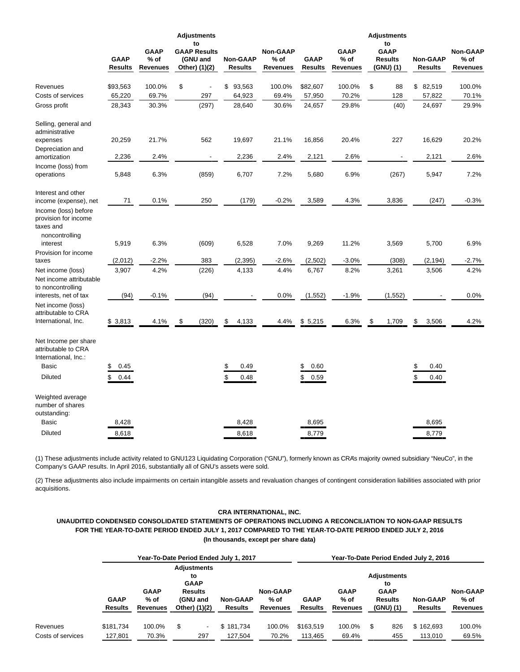|                                                                     | <b>GAAP</b><br><b>Results</b> | <b>GAAP</b><br>$%$ of<br><b>Revenues</b> | <b>Adjustments</b><br>to<br><b>GAAP Results</b><br>(GNU and<br>Other) (1)(2) | <b>Non-GAAP</b><br><b>Results</b> | <b>Non-GAAP</b><br>% of<br><b>Revenues</b> | <b>GAAP</b><br><b>Results</b> | <b>GAAP</b><br>$%$ of<br><b>Revenues</b> | <b>Adjustments</b><br>to<br><b>GAAP</b><br><b>Results</b><br>(GNU)(1) | <b>Non-GAAP</b><br><b>Results</b> | <b>Non-GAAP</b><br>$%$ of<br><b>Revenues</b> |
|---------------------------------------------------------------------|-------------------------------|------------------------------------------|------------------------------------------------------------------------------|-----------------------------------|--------------------------------------------|-------------------------------|------------------------------------------|-----------------------------------------------------------------------|-----------------------------------|----------------------------------------------|
| Revenues                                                            | \$93,563                      | 100.0%                                   | \$                                                                           | \$<br>93,563                      | 100.0%                                     | \$82,607                      | 100.0%                                   | \$<br>88                                                              | \$<br>82,519                      | 100.0%                                       |
| Costs of services                                                   | 65,220                        | 69.7%                                    | 297                                                                          | 64,923                            | 69.4%                                      | 57,950                        | 70.2%                                    | 128                                                                   | 57,822                            | 70.1%                                        |
| Gross profit                                                        | 28,343                        | 30.3%                                    | (297)                                                                        | 28,640                            | 30.6%                                      | 24,657                        | 29.8%                                    | (40)                                                                  | 24,697                            | 29.9%                                        |
| Selling, general and<br>administrative                              |                               |                                          |                                                                              |                                   |                                            |                               |                                          |                                                                       |                                   |                                              |
| expenses<br>Depreciation and                                        | 20,259                        | 21.7%                                    | 562                                                                          | 19,697                            | 21.1%                                      | 16,856                        | 20.4%                                    | 227                                                                   | 16,629                            | 20.2%                                        |
| amortization                                                        | 2,236                         | 2.4%                                     |                                                                              | 2,236                             | 2.4%                                       | 2,121                         | 2.6%                                     |                                                                       | 2,121                             | 2.6%                                         |
| Income (loss) from<br>operations                                    | 5,848                         | 6.3%                                     | (859)                                                                        | 6,707                             | 7.2%                                       | 5,680                         | 6.9%                                     | (267)                                                                 | 5,947                             | 7.2%                                         |
| Interest and other<br>income (expense), net                         | 71                            | 0.1%                                     | 250                                                                          | (179)                             | $-0.2%$                                    | 3,589                         | 4.3%                                     | 3,836                                                                 | (247)                             | $-0.3%$                                      |
| Income (loss) before<br>provision for income<br>taxes and           |                               |                                          |                                                                              |                                   |                                            |                               |                                          |                                                                       |                                   |                                              |
| noncontrolling<br>interest                                          | 5,919                         | 6.3%                                     | (609)                                                                        | 6,528                             | 7.0%                                       | 9,269                         | 11.2%                                    | 3,569                                                                 | 5,700                             | 6.9%                                         |
| Provision for income<br>taxes                                       | (2,012)                       | $-2.2%$                                  | 383                                                                          | (2, 395)                          | $-2.6%$                                    | (2,502)                       | $-3.0%$                                  | (308)                                                                 | (2, 194)                          | $-2.7\%$                                     |
| Net income (loss)                                                   | 3,907                         | 4.2%                                     | (226)                                                                        | 4,133                             | 4.4%                                       | 6,767                         | 8.2%                                     | 3,261                                                                 | 3,506                             | 4.2%                                         |
| Net income attributable<br>to noncontrolling                        |                               |                                          |                                                                              |                                   |                                            |                               |                                          |                                                                       |                                   |                                              |
| interests, net of tax                                               | (94)                          | $-0.1%$                                  | (94)                                                                         |                                   | 0.0%                                       | (1, 552)                      | $-1.9%$                                  | (1, 552)                                                              |                                   | 0.0%                                         |
| Net income (loss)<br>attributable to CRA                            |                               |                                          |                                                                              |                                   |                                            |                               |                                          |                                                                       |                                   |                                              |
| International, Inc.                                                 | \$3,813                       | 4.1%                                     | \$<br>(320)                                                                  | \$<br>4,133                       | 4.4%                                       | \$5,215                       | 6.3%                                     | \$<br>1,709                                                           | \$<br>3,506                       | 4.2%                                         |
| Net Income per share<br>attributable to CRA<br>International, Inc.: |                               |                                          |                                                                              |                                   |                                            |                               |                                          |                                                                       |                                   |                                              |
| <b>Basic</b>                                                        | \$<br>0.45                    |                                          |                                                                              | 0.49<br>\$                        |                                            | \$<br>0.60                    |                                          |                                                                       | \$<br>0.40                        |                                              |
| <b>Diluted</b>                                                      | \$<br>0.44                    |                                          |                                                                              | 0.48                              |                                            | \$<br>0.59                    |                                          |                                                                       | \$<br>0.40                        |                                              |
| Weighted average<br>number of shares<br>outstanding:                |                               |                                          |                                                                              |                                   |                                            |                               |                                          |                                                                       |                                   |                                              |
| <b>Basic</b>                                                        | 8,428                         |                                          |                                                                              | 8,428                             |                                            | 8,695                         |                                          |                                                                       | 8,695                             |                                              |
| <b>Diluted</b>                                                      | 8,618                         |                                          |                                                                              | 8,618                             |                                            | 8,779                         |                                          |                                                                       | 8,779                             |                                              |

(1) These adjustments include activity related to GNU123 Liquidating Corporation ("GNU"), formerly known as CRA's majority owned subsidiary "NeuCo", in the Company's GAAP results. In April 2016, substantially all of GNU's assets were sold.

(2) These adjustments also include impairments on certain intangible assets and revaluation changes of contingent consideration liabilities associated with prior acquisitions.

## **CRA INTERNATIONAL, INC.**

**UNAUDITED CONDENSED CONSOLIDATED STATEMENTS OF OPERATIONS INCLUDING A RECONCILIATION TO NON-GAAP RESULTS FOR THE YEAR-TO-DATE PERIOD ENDED JULY 1, 2017 COMPARED TO THE YEAR-TO-DATE PERIOD ENDED JULY 2, 2016 (In thousands, except per share data)**

|                   |                        |                                   | Year-To-Date Period Ended July 1, 2017                                                 |                            |                                       | Year-To-Date Period Ended July 2, 2016 |                                   |                                                                        |                            |                                     |  |  |  |  |
|-------------------|------------------------|-----------------------------------|----------------------------------------------------------------------------------------|----------------------------|---------------------------------------|----------------------------------------|-----------------------------------|------------------------------------------------------------------------|----------------------------|-------------------------------------|--|--|--|--|
|                   | <b>GAAP</b><br>Results | <b>GAAP</b><br>$%$ of<br>Revenues | <b>Adjustments</b><br>to<br><b>GAAP</b><br><b>Results</b><br>(GNU and<br>Other) (1)(2) | <b>Non-GAAP</b><br>Results | <b>Non-GAAP</b><br>$%$ of<br>Revenues | <b>GAAP</b><br>Results                 | <b>GAAP</b><br>$%$ of<br>Revenues | <b>Adjustments</b><br>to<br><b>GAAP</b><br><b>Results</b><br>(GNU) (1) | <b>Non-GAAP</b><br>Results | <b>Non-GAAP</b><br>% of<br>Revenues |  |  |  |  |
| Revenues          | \$181.734              | 100.0%                            | S<br>$\overline{\phantom{a}}$                                                          | \$181.734                  | 100.0%                                | \$163.519                              | 100.0%                            | \$<br>826                                                              | \$162.693                  | 100.0%                              |  |  |  |  |
| Costs of services | 127.801                | 70.3%                             | 297                                                                                    | 127.504                    | 70.2%                                 | 113.465                                | 69.4%                             | 455                                                                    | 113.010                    | 69.5%                               |  |  |  |  |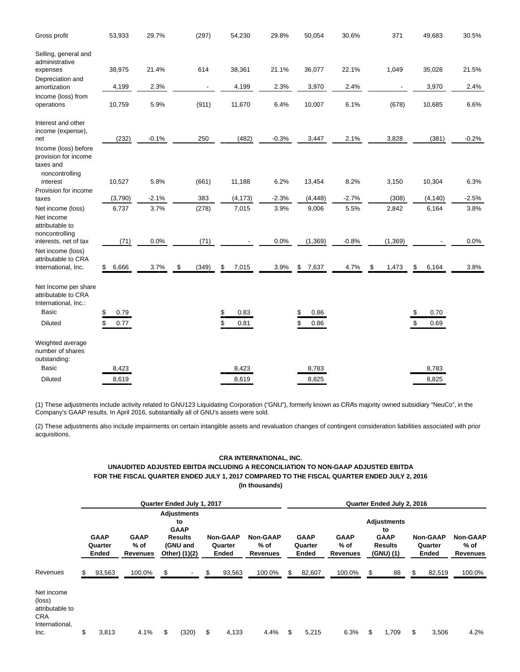| Gross profit                                                                | 53,933      | 29.7%   | (297)          | 54,230      | 29.8%   | 50,054      | 30.6%   | 371         | 49,683      | 30.5%   |
|-----------------------------------------------------------------------------|-------------|---------|----------------|-------------|---------|-------------|---------|-------------|-------------|---------|
| Selling, general and<br>administrative                                      |             |         |                |             |         |             |         |             |             |         |
| expenses                                                                    | 38,975      | 21.4%   | 614            | 38,361      | 21.1%   | 36,077      | 22.1%   | 1,049       | 35,028      | 21.5%   |
| Depreciation and<br>amortization                                            | 4,199       | 2.3%    | $\blacksquare$ | 4,199       | 2.3%    | 3,970       | 2.4%    |             | 3,970       | 2.4%    |
| Income (loss) from<br>operations                                            | 10,759      | 5.9%    | (911)          | 11,670      | 6.4%    | 10,007      | 6.1%    | (678)       | 10,685      | 6.6%    |
| Interest and other<br>income (expense),                                     |             |         |                |             |         |             |         |             |             |         |
| net                                                                         | (232)       | $-0.1%$ | 250            | (482)       | $-0.3%$ | 3,447       | 2.1%    | 3,828       | (381)       | $-0.2%$ |
| Income (loss) before<br>provision for income<br>taxes and<br>noncontrolling |             |         |                |             |         |             |         |             |             |         |
| interest                                                                    | 10,527      | 5.8%    | (661)          | 11,188      | 6.2%    | 13,454      | 8.2%    | 3,150       | 10,304      | 6.3%    |
| Provision for income<br>taxes                                               | (3,790)     | $-2.1%$ | 383            | (4, 173)    | $-2.3%$ | (4, 448)    | $-2.7%$ | (308)       | (4, 140)    | $-2.5%$ |
| Net income (loss)                                                           | 6,737       | 3.7%    | (278)          | 7,015       | 3.9%    | 9,006       | 5.5%    | 2,842       | 6,164       | 3.8%    |
| Net income<br>attributable to<br>noncontrolling                             |             |         |                |             |         |             |         |             |             |         |
| interests, net of tax                                                       | (71)        | 0.0%    | (71)           |             | 0.0%    | (1, 369)    | $-0.8%$ | (1, 369)    |             | 0.0%    |
| Net income (loss)<br>attributable to CRA                                    |             |         |                |             |         |             |         |             |             |         |
| International, Inc.                                                         | \$<br>6,666 | 3.7%    | \$<br>(349)    | 7,015<br>\$ | 3.9%    | \$<br>7,637 | 4.7%    | \$<br>1,473 | \$<br>6,164 | 3.8%    |
| Net Income per share<br>attributable to CRA<br>International, Inc.:         |             |         |                |             |         |             |         |             |             |         |
| Basic                                                                       | \$<br>0.79  |         |                | 0.83<br>S   |         | 0.86<br>\$  |         |             | 0.70<br>S   |         |
| <b>Diluted</b>                                                              | \$<br>0.77  |         |                | \$<br>0.81  |         | 0.86        |         |             | \$<br>0.69  |         |
| Weighted average<br>number of shares<br>outstanding:                        |             |         |                |             |         |             |         |             |             |         |
| <b>Basic</b>                                                                | 8,423       |         |                | 8,423       |         | 8,783       |         |             | 8,783       |         |
| <b>Diluted</b>                                                              | 8,619       |         |                | 8,619       |         | 8,825       |         |             | 8,825       |         |

(1) These adjustments include activity related to GNU123 Liquidating Corporation ("GNU"), formerly known as CRA's majority owned subsidiary "NeuCo", in the Company's GAAP results. In April 2016, substantially all of GNU's assets were sold.

(2) These adjustments also include impairments on certain intangible assets and revaluation changes of contingent consideration liabilities associated with prior acquisitions.

# **CRA INTERNATIONAL, INC.**

## **UNAUDITED ADJUSTED EBITDA INCLUDING A RECONCILIATION TO NON-GAAP ADJUSTED EBITDA FOR THE FISCAL QUARTER ENDED JULY 1, 2017 COMPARED TO THE FISCAL QUARTER ENDED JULY 2, 2016 (In thousands)**

|                                                                                 | Quarter Ended July 1, 2017      |                                          |                                                                                        |       |    |                                     |                                            |    |                                 | Quarter Ended July 2, 2016               |                                                                 |       |                                     |        |                                              |  |  |
|---------------------------------------------------------------------------------|---------------------------------|------------------------------------------|----------------------------------------------------------------------------------------|-------|----|-------------------------------------|--------------------------------------------|----|---------------------------------|------------------------------------------|-----------------------------------------------------------------|-------|-------------------------------------|--------|----------------------------------------------|--|--|
|                                                                                 | <b>GAAP</b><br>Quarter<br>Ended | <b>GAAP</b><br>$%$ of<br><b>Revenues</b> | <b>Adjustments</b><br>to<br><b>GAAP</b><br><b>Results</b><br>(GNU and<br>Other) (1)(2) |       |    | <b>Non-GAAP</b><br>Quarter<br>Ended | <b>Non-GAAP</b><br>% of<br><b>Revenues</b> |    | <b>GAAP</b><br>Quarter<br>Ended | <b>GAAP</b><br>$%$ of<br><b>Revenues</b> | <b>Adjustments</b><br>to<br><b>GAAP</b><br>Results<br>(GNU) (1) |       | <b>Non-GAAP</b><br>Quarter<br>Ended |        | <b>Non-GAAP</b><br>$%$ of<br><b>Revenues</b> |  |  |
| Revenues                                                                        | \$<br>93,563                    | 100.0%                                   | \$                                                                                     |       | S  | 93,563                              | 100.0%                                     | S  | 82,607                          | 100.0%                                   | \$                                                              | 88    | S                                   | 82,519 | 100.0%                                       |  |  |
| Net income<br>(loss)<br>attributable to<br><b>CRA</b><br>International,<br>Inc. | \$<br>3,813                     | 4.1%                                     | \$                                                                                     | (320) | \$ | 4,133                               | 4.4%                                       | \$ | 5,215                           | 6.3%                                     | \$                                                              | 1,709 | S                                   | 3,506  | 4.2%                                         |  |  |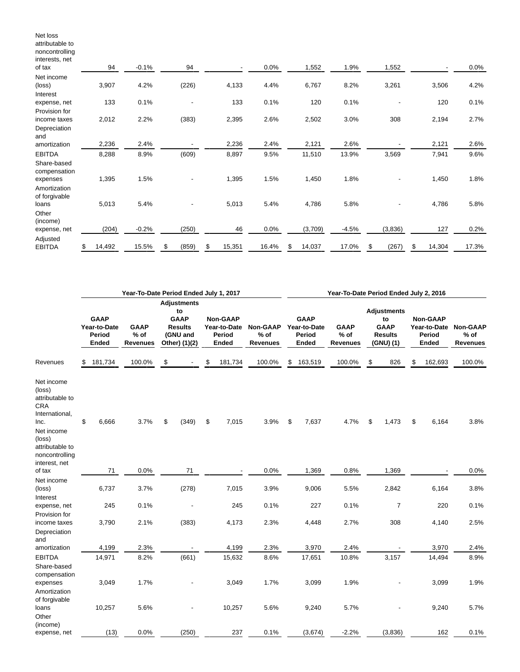| attributable to<br>noncontrolling<br>interests, net<br>of tax | 94           | $-0.1%$ | 94                       | ٠            | 0.0%  | 1,552        | 1.9%    | 1,552       |              | 0.0%  |
|---------------------------------------------------------------|--------------|---------|--------------------------|--------------|-------|--------------|---------|-------------|--------------|-------|
| Net income                                                    |              |         |                          |              |       |              |         |             |              |       |
| (loss)<br>Interest                                            | 3,907        | 4.2%    | (226)                    | 4,133        | 4.4%  | 6,767        | 8.2%    | 3,261       | 3,506        | 4.2%  |
| expense, net                                                  | 133          | 0.1%    | $\overline{\phantom{a}}$ | 133          | 0.1%  | 120          | 0.1%    | ٠           | 120          | 0.1%  |
| Provision for                                                 |              |         |                          |              |       |              |         |             |              |       |
| income taxes                                                  | 2,012        | 2.2%    | (383)                    | 2,395        | 2.6%  | 2,502        | 3.0%    | 308         | 2,194        | 2.7%  |
| Depreciation<br>and                                           |              |         |                          |              |       |              |         |             |              |       |
| amortization                                                  | 2,236        | 2.4%    | $\overline{\phantom{a}}$ | 2,236        | 2.4%  | 2,121        | 2.6%    |             | 2,121        | 2.6%  |
| <b>EBITDA</b>                                                 | 8,288        | 8.9%    | (609)                    | 8,897        | 9.5%  | 11,510       | 13.9%   | 3,569       | 7,941        | 9.6%  |
| Share-based<br>compensation                                   | 1,395        | 1.5%    |                          | 1,395        | 1.5%  | 1,450        | 1.8%    |             | 1,450        | 1.8%  |
| expenses<br>Amortization<br>of forgivable                     |              |         |                          |              |       |              |         |             |              |       |
| loans                                                         | 5,013        | 5.4%    |                          | 5,013        | 5.4%  | 4,786        | 5.8%    |             | 4,786        | 5.8%  |
| Other<br>(income)                                             |              |         |                          |              |       |              |         |             |              |       |
| expense, net                                                  | (204)        | $-0.2%$ | (250)                    | 46           | 0.0%  | (3,709)      | $-4.5%$ | (3,836)     | 127          | 0.2%  |
| Adjusted<br><b>EBITDA</b>                                     | \$<br>14,492 | 15.5%   | \$<br>(859)              | \$<br>15,351 | 16.4% | \$<br>14,037 | 17.0%   | \$<br>(267) | \$<br>14,304 | 17.3% |

Net loss

|                                                                                                                                                               |                                                       |         | Year-To-Date Period Ended July 1, 2017   |    | Year-To-Date Period Ended July 2, 2016                                                 |    |                                                           |        |                                              |         |                                                       |    |                                          |                                                                        |         |                                                                    |  |                         |
|---------------------------------------------------------------------------------------------------------------------------------------------------------------|-------------------------------------------------------|---------|------------------------------------------|----|----------------------------------------------------------------------------------------|----|-----------------------------------------------------------|--------|----------------------------------------------|---------|-------------------------------------------------------|----|------------------------------------------|------------------------------------------------------------------------|---------|--------------------------------------------------------------------|--|-------------------------|
|                                                                                                                                                               | <b>GAAP</b><br>Year-to-Date<br>Period<br><b>Ended</b> |         | <b>GAAP</b><br>$%$ of<br><b>Revenues</b> |    | <b>Adjustments</b><br>to<br><b>GAAP</b><br><b>Results</b><br>(GNU and<br>Other) (1)(2) |    | <b>Non-GAAP</b><br>Year-to-Date<br>Period<br><b>Ended</b> |        | <b>Non-GAAP</b><br>$%$ of<br><b>Revenues</b> |         | <b>GAAP</b><br>Year-to-Date<br><b>Period</b><br>Ended |    | <b>GAAP</b><br>$%$ of<br><b>Revenues</b> | <b>Adjustments</b><br>to<br><b>GAAP</b><br><b>Results</b><br>(GNU) (1) |         | <b>Non-GAAP</b><br>Year-to-Date Non-GAAP<br>Period<br><b>Ended</b> |  | % of<br><b>Revenues</b> |
| Revenues                                                                                                                                                      | S                                                     | 181,734 | 100.0%                                   | \$ |                                                                                        | \$ | 181,734                                                   | 100.0% | \$                                           | 163,519 | 100.0%                                                | \$ | 826                                      | \$                                                                     | 162,693 | 100.0%                                                             |  |                         |
| Net income<br>(loss)<br>attributable to<br><b>CRA</b><br>International,<br>Inc.<br>Net income<br>(loss)<br>attributable to<br>noncontrolling<br>interest, net | \$                                                    | 6,666   | 3.7%                                     | \$ | (349)                                                                                  | \$ | 7,015                                                     | 3.9%   | \$                                           | 7,637   | 4.7%                                                  | \$ | 1,473                                    | \$                                                                     | 6,164   | 3.8%                                                               |  |                         |
| of tax                                                                                                                                                        |                                                       | 71      | 0.0%                                     |    | 71                                                                                     |    |                                                           | 0.0%   |                                              | 1,369   | 0.8%                                                  |    | 1,369                                    |                                                                        |         | 0.0%                                                               |  |                         |
| Net income<br>(loss)<br>Interest                                                                                                                              |                                                       | 6,737   | 3.7%                                     |    | (278)                                                                                  |    | 7,015                                                     | 3.9%   |                                              | 9,006   | 5.5%                                                  |    | 2,842                                    |                                                                        | 6,164   | 3.8%                                                               |  |                         |
| expense, net                                                                                                                                                  |                                                       | 245     | 0.1%                                     |    |                                                                                        |    | 245                                                       | 0.1%   |                                              | 227     | 0.1%                                                  |    | $\overline{7}$                           |                                                                        | 220     | 0.1%                                                               |  |                         |
| Provision for<br>income taxes<br>Depreciation<br>and                                                                                                          |                                                       | 3,790   | 2.1%                                     |    | (383)                                                                                  |    | 4,173                                                     | 2.3%   |                                              | 4,448   | 2.7%                                                  |    | 308                                      |                                                                        | 4,140   | 2.5%                                                               |  |                         |
| amortization                                                                                                                                                  |                                                       | 4,199   | 2.3%                                     |    |                                                                                        |    | 4,199                                                     | 2.3%   |                                              | 3,970   | 2.4%                                                  |    |                                          |                                                                        | 3,970   | 2.4%                                                               |  |                         |
| <b>EBITDA</b>                                                                                                                                                 |                                                       | 14,971  | 8.2%                                     |    | (661)                                                                                  |    | 15,632                                                    | 8.6%   |                                              | 17,651  | 10.8%                                                 |    | 3,157                                    |                                                                        | 14,494  | 8.9%                                                               |  |                         |
| Share-based<br>compensation<br>expenses<br>Amortization<br>of forgivable                                                                                      |                                                       | 3,049   | 1.7%                                     |    |                                                                                        |    | 3,049                                                     | 1.7%   |                                              | 3,099   | 1.9%                                                  |    |                                          |                                                                        | 3,099   | 1.9%                                                               |  |                         |
| loans<br>Other                                                                                                                                                |                                                       | 10,257  | 5.6%                                     |    |                                                                                        |    | 10,257                                                    | 5.6%   |                                              | 9,240   | 5.7%                                                  |    |                                          |                                                                        | 9,240   | 5.7%                                                               |  |                         |
| (income)<br>expense, net                                                                                                                                      |                                                       | (13)    | 0.0%                                     |    | (250)                                                                                  |    | 237                                                       | 0.1%   |                                              | (3,674) | $-2.2%$                                               |    | (3,836)                                  |                                                                        | 162     | 0.1%                                                               |  |                         |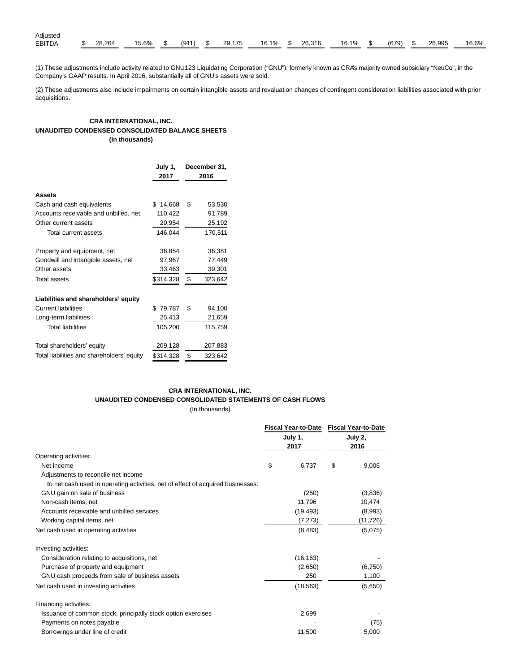| Adjusted      |        |          |  |                   |                 |  |            |       |    |        |       |
|---------------|--------|----------|--|-------------------|-----------------|--|------------|-------|----|--------|-------|
| <b>EBITDA</b> | 28.264 | 15.6% \$ |  | $(911)$ \$ 29.175 | 16.1% \$ 26,316 |  | $16.1\%$ . | (679) | -S | 26,995 | 16.6% |

(1) These adjustments include activity related to GNU123 Liquidating Corporation ("GNU"), formerly known as CRA's majority owned subsidiary "NeuCo", in the Company's GAAP results. In April 2016, substantially all of GNU's assets were sold.

(2) These adjustments also include impairments on certain intangible assets and revaluation changes of contingent consideration liabilities associated with prior acquisitions.

## **CRA INTERNATIONAL, INC. UNAUDITED CONDENSED CONSOLIDATED BALANCE SHEETS (In thousands)**

|                                            | July 1,      | December 31,  |
|--------------------------------------------|--------------|---------------|
|                                            | 2017         | 2016          |
| Assets                                     |              |               |
| Cash and cash equivalents                  | \$<br>14,668 | \$<br>53,530  |
| Accounts receivable and unbilled, net      | 110,422      | 91,789        |
| Other current assets                       | 20,954       | 25,192        |
| Total current assets                       | 146,044      | 170,511       |
| Property and equipment, net                | 36,854       | 36,381        |
| Goodwill and intangible assets, net        | 97,967       | 77,449        |
| Other assets                               | 33,463       | 39,301        |
| Total assets                               | \$314,328    | \$<br>323,642 |
| Liabilities and shareholders' equity       |              |               |
| <b>Current liabilities</b>                 | \$79,787     | \$<br>94,100  |
| Long-term liabilities                      | 25,413       | 21,659        |
| <b>Total liabilities</b>                   | 105,200      | 115,759       |
| Total shareholders' equity                 | 209,128      | 207,883       |
| Total liabilities and shareholders' equity | \$314,328    | \$<br>323,642 |

### **CRA INTERNATIONAL, INC. UNAUDITED CONDENSED CONSOLIDATED STATEMENTS OF CASH FLOWS** (In thousands)

|                                                                                 |                 | Fiscal Year-to-Date Fiscal Year-to-Date<br>July 2,<br>2016 |          |  |
|---------------------------------------------------------------------------------|-----------------|------------------------------------------------------------|----------|--|
|                                                                                 | July 1,<br>2017 |                                                            |          |  |
| Operating activities:                                                           |                 |                                                            |          |  |
| Net income                                                                      | \$<br>6,737     | \$                                                         | 9,006    |  |
| Adjustments to reconcile net income                                             |                 |                                                            |          |  |
| to net cash used in operating activities, net of effect of acquired businesses: |                 |                                                            |          |  |
| GNU gain on sale of business                                                    | (250)           |                                                            | (3,836)  |  |
| Non-cash items, net                                                             | 11,796          |                                                            | 10,474   |  |
| Accounts receivable and unbilled services                                       | (19, 493)       |                                                            | (8,993)  |  |
| Working capital items, net                                                      | (7, 273)        |                                                            | (11,726) |  |
| Net cash used in operating activities                                           | (8, 483)        |                                                            | (5,075)  |  |
| Investing activities:                                                           |                 |                                                            |          |  |
| Consideration relating to acquisitions, net                                     | (16, 163)       |                                                            |          |  |
| Purchase of property and equipment                                              | (2,650)         |                                                            | (6,750)  |  |
| GNU cash proceeds from sale of business assets                                  | 250             |                                                            | 1,100    |  |
| Net cash used in investing activities                                           | (18, 563)       |                                                            | (5,650)  |  |
| Financing activities:                                                           |                 |                                                            |          |  |
| Issuance of common stock, principally stock option exercises                    | 2,699           |                                                            |          |  |
| Payments on notes payable                                                       |                 |                                                            | (75)     |  |
| Borrowings under line of credit                                                 | 11,500          |                                                            | 5,000    |  |